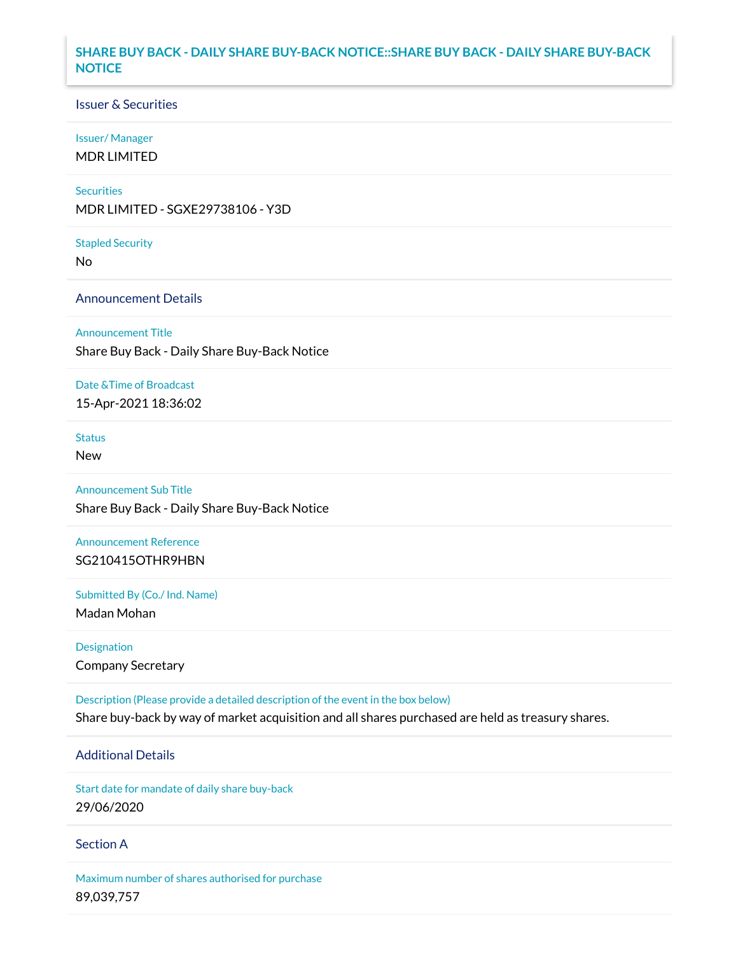## **SHARE BUY BACK - DAILY SHARE BUY-BACK NOTICE::SHARE BUY BACK - DAILY SHARE BUY-BACK NOTICE**

### Issuer & Securities

### Issuer/ Manager

MDR LIMITED

### **Securities**

MDR LIMITED - SGXE29738106 - Y3D

#### Stapled Security

No

## Announcement Details

### Announcement Title

Share Buy Back - Daily Share Buy-Back Notice

### Date &Time of Broadcast

15-Apr-2021 18:36:02

# **Status**

New

# Announcement Sub Title

Share Buy Back - Daily Share Buy-Back Notice

## Announcement Reference SG210415OTHR9HBN

Submitted By (Co./ Ind. Name)

Madan Mohan

Designation Company Secretary

Description (Please provide a detailed description of the event in the box below) Share buy-back by way of market acquisition and all shares purchased are held as treasury shares.

# Additional Details

Start date for mandate of daily share buy-back 29/06/2020

### Section A

Maximum number of shares authorised for purchase 89,039,757